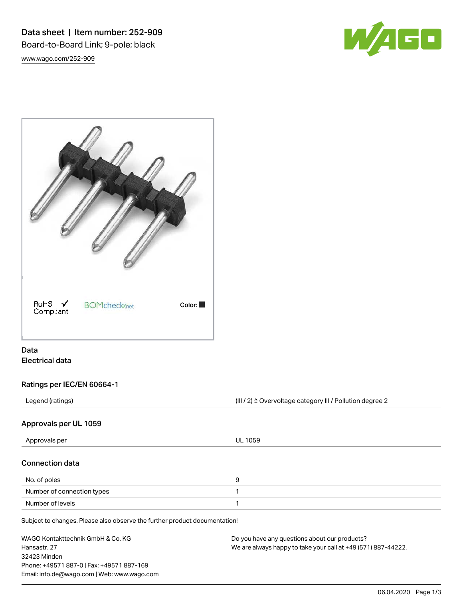Data sheet | Item number: 252-909 Board-to-Board Link; 9-pole; black [www.wago.com/252-909](http://www.wago.com/252-909)





# Data Electrical data

# Ratings per IEC/EN 60664-1

Legend (ratings) and intervalse are external to the CHI / 2) ≙ Overvoltage category III / Pollution degree 2

### Approvals per UL 1059

| Approvals per                                                              | UL 1059 |  |
|----------------------------------------------------------------------------|---------|--|
| <b>Connection data</b>                                                     |         |  |
| No. of poles                                                               | 9       |  |
| Number of connection types                                                 |         |  |
| Number of levels                                                           |         |  |
| Subject to changes. Please also observe the further product documentation! |         |  |

Subject to changes. Please also observe the further product documentation!

| WAGO Kontakttechnik GmbH & Co. KG           | Do you have any questions about our products?                 |
|---------------------------------------------|---------------------------------------------------------------|
| Hansastr. 27                                | We are always happy to take your call at +49 (571) 887-44222. |
| 32423 Minden                                |                                                               |
| Phone: +49571 887-0   Fax: +49571 887-169   |                                                               |
| Email: info.de@wago.com   Web: www.wago.com |                                                               |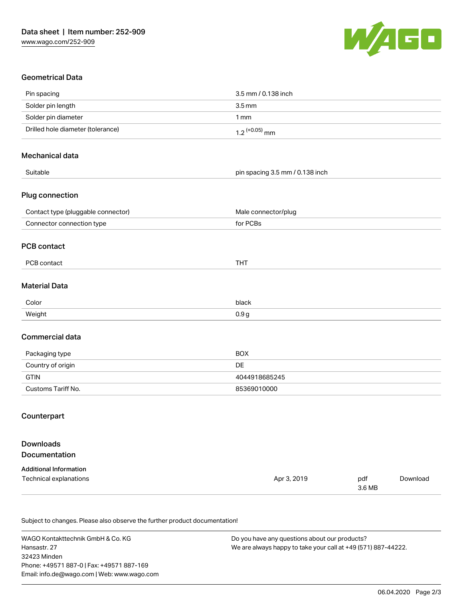

# Geometrical Data

| Pin spacing                        | 3.5 mm / 0.138 inch             |               |          |
|------------------------------------|---------------------------------|---------------|----------|
| Solder pin length                  | $3.5$ mm                        |               |          |
| Solder pin diameter                | 1mm                             |               |          |
| Drilled hole diameter (tolerance)  | $1.2$ (+0.05) mm                |               |          |
| Mechanical data                    |                                 |               |          |
| Suitable                           | pin spacing 3.5 mm / 0.138 inch |               |          |
| Plug connection                    |                                 |               |          |
| Contact type (pluggable connector) | Male connector/plug             |               |          |
| Connector connection type          | for PCBs                        |               |          |
| <b>PCB contact</b>                 |                                 |               |          |
| PCB contact                        | <b>THT</b>                      |               |          |
| <b>Material Data</b>               |                                 |               |          |
| Color                              | black                           |               |          |
| Weight                             | 0.9 <sub>g</sub>                |               |          |
| Commercial data                    |                                 |               |          |
| Packaging type                     | <b>BOX</b>                      |               |          |
| Country of origin                  | DE                              |               |          |
| <b>GTIN</b>                        | 4044918685245                   |               |          |
| Customs Tariff No.                 | 85369010000                     |               |          |
| Counterpart                        |                                 |               |          |
| <b>Downloads</b>                   |                                 |               |          |
| Documentation                      |                                 |               |          |
| <b>Additional Information</b>      |                                 |               |          |
| Technical explanations             | Apr 3, 2019                     | pdf<br>3.6 MB | Download |

Subject to changes. Please also observe the further product documentation!

WAGO Kontakttechnik GmbH & Co. KG Hansastr. 27 32423 Minden Phone: +49571 887-0 | Fax: +49571 887-169 Email: info.de@wago.com | Web: www.wago.com

Do you have any questions about our products? We are always happy to take your call at +49 (571) 887-44222.